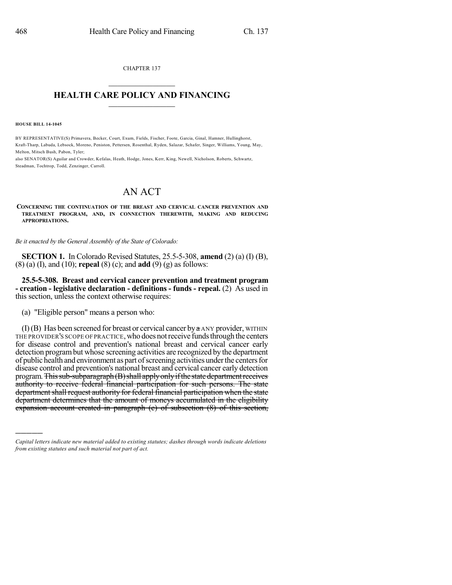CHAPTER 137  $\overline{\phantom{a}}$  . The set of the set of the set of the set of the set of the set of the set of the set of the set of the set of the set of the set of the set of the set of the set of the set of the set of the set of the set o

## **HEALTH CARE POLICY AND FINANCING**  $\_$   $\_$   $\_$   $\_$   $\_$   $\_$   $\_$   $\_$

**HOUSE BILL 14-1045**

)))))

BY REPRESENTATIVE(S) Primavera, Becker, Court, Exum, Fields, Fischer, Foote, Garcia, Ginal, Hamner, Hullinghorst, Kraft-Tharp, Labuda, Lebsock, Moreno, Peniston, Pettersen, Rosenthal, Ryden, Salazar, Schafer, Singer, Williams, Young, May, Melton, Mitsch Bush, Pabon, Tyler;

also SENATOR(S) Aguilar and Crowder, Kefalas, Heath, Hodge, Jones, Kerr, King, Newell, Nicholson, Roberts, Schwartz, Steadman, Tochtrop, Todd, Zenzinger, Carroll.

## AN ACT

**CONCERNING THE CONTINUATION OF THE BREAST AND CERVICAL CANCER PREVENTION AND TREATMENT PROGRAM, AND, IN CONNECTION THEREWITH, MAKING AND REDUCING APPROPRIATIONS.**

*Be it enacted by the General Assembly of the State of Colorado:*

**SECTION 1.** In Colorado Revised Statutes, 25.5-5-308, **amend** (2) (a) (I) (B), (8) (a) (I), and (10); **repeal** (8) (c); and **add** (9) (g) as follows:

**25.5-5-308. Breast and cervical cancer prevention and treatment program - creation - legislative declaration - definitions - funds - repeal.** (2) As used in this section, unless the context otherwise requires:

(a) "Eligible person" means a person who:

 $(I)$  (B) Has been screened for breast or cervical cancer by  $a$  ANY provider, WITHIN THE PROVIDER'S SCOPE OF PRACTICE,who does notreceive fundsthrough the centers for disease control and prevention's national breast and cervical cancer early detection programbut whose screening activities are recognized by the department of public health and environment as part of screening activities under the centers for disease control and prevention's national breast and cervical cancer early detection program. This sub-subparagraph (B) shall apply only if the state department receives authority to receive federal financial participation for such persons. The state department shall request authority for federal financial participation when the state department determines that the amount of moneys accumulated in the eligibility expansion account created in paragraph (c) of subsection (8) of this section,

*Capital letters indicate new material added to existing statutes; dashes through words indicate deletions from existing statutes and such material not part of act.*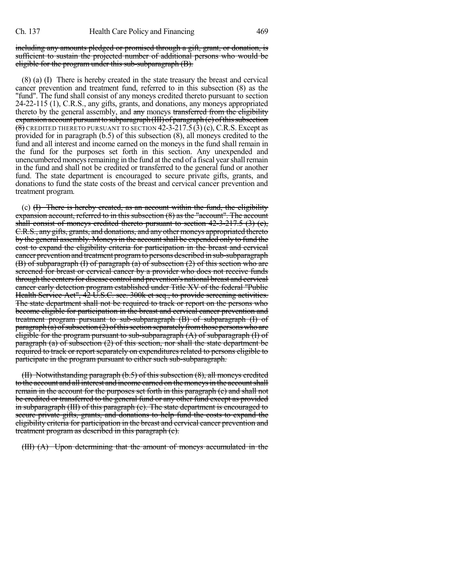including any amounts pledged or promised through a gift, grant, or donation, is sufficient to sustain the projected number of additional persons who would be eligible for the program under this sub-subparagraph (B).

(8) (a) (I) There is hereby created in the state treasury the breast and cervical cancer prevention and treatment fund, referred to in this subsection (8) as the "fund". The fund shall consist of any moneys credited thereto pursuant to section 24-22-115 (1), C.R.S., any gifts, grants, and donations, any moneys appropriated thereto by the general assembly, and any moneys transferred from the eligibility expansion account pursuant to subparagraph  $(HI)$  of paragraph  $(c)$  of this subsection  $\overline{(8)}$  CREDITED THERETO PURSUANT TO SECTION 42-3-217.5(3) (c), C.R.S. Except as provided for in paragraph (b.5) of this subsection (8), all moneys credited to the fund and all interest and income earned on the moneys in the fund shall remain in the fund for the purposes set forth in this section. Any unexpended and unencumbered moneys remaining in the fund at the end of a fiscal year shall remain in the fund and shall not be credited or transferred to the general fund or another fund. The state department is encouraged to secure private gifts, grants, and donations to fund the state costs of the breast and cervical cancer prevention and treatment program.

(c) (I) There is hereby created, as an account within the fund, the eligibility expansion account, referred to in this subsection (8) as the "account". The account shall consist of moneys credited thereto pursuant to section 42-3-217.5 (3) (e), C.R.S., any gifts, grants, and donations, and any other moneys appropriated thereto by the general assembly. Moneys in the account shall be expended only to fund the cost to expand the eligibility criteria for participation in the breast and cervical cancer prevention and treatment programto persons described in sub-subparagraph (B) of subparagraph (I) of paragraph (a) of subsection (2) of this section who are screened for breast or cervical cancer by a provider who does not receive funds through the centers for disease control and prevention's national breast and cervical cancer early detection program established under Title XV of the federal "Public Health Service Act",  $\overline{42}$  U.S.C. sec. 300k et seq., to provide screening activities. The state department shall not be required to track or report on the persons who become eligible for participation in the breast and cervical cancer prevention and treatment program pursuant to sub-subparagraph (B) of subparagraph (I) of paragraph (a) of subsection (2) of this section separately from those persons who are eligible for the program pursuant to sub-subparagraph  $(A)$  of subparagraph  $(I)$  of paragraph (a) of subsection (2) of this section, nor shall the state department be required to track or report separately on expenditures related to persons eligible to participate in the program pursuant to either such sub-subparagraph.

(II) Notwithstanding paragraph (b.5) of this subsection (8), all moneys credited to the account and all interest and income carned on the moneys in the account shall remain in the account for the purposes set forth in this paragraph (c) and shall not be credited or transferred to the general fund or any other fund except as provided in subparagraph (III) of this paragraph (c). The state department is encouraged to secure private gifts, grants, and donations to help fund the costs to expand the eligibility criteria for participation in the breast and cervical cancer prevention and treatment program as described in this paragraph (c).

(III) (A) Upon determining that the amount of moneys accumulated in the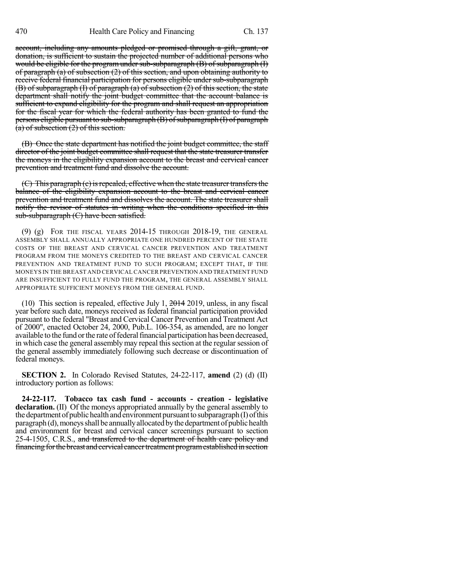account, including any amounts pledged or promised through a gift, grant, or donation, is sufficient to sustain the projected number of additional persons who would be eligible for the program under sub-subparagraph (B) of subparagraph (I) of paragraph (a) of subsection (2) of this section, and upon obtaining authority to receive federal financial participation for persons eligible under sub-subparagraph (B) of subparagraph (I) of paragraph (a) of subsection (2) of this section, the state department shall notify the joint budget committee that the account balance is sufficient to expand eligibility for the program and shall request an appropriation for the fiscal year for which the federal authority has been granted to fund the persons eligible pursuant to sub-subparagraph (B) of subparagraph (I) of paragraph  $(a)$  of subsection  $(2)$  of this section.

(B) Once the state department has notified the joint budget committee, the staff director of the joint budget committee shall request that the state treasurer transfer the moneys in the eligibility expansion account to the breast and cervical cancer prevention and treatment fund and dissolve the account.

 $(C)$  This paragraph  $(c)$  is repealed, effective when the state treasurer transfers the balance of the eligibility expansion account to the breast and cervical cancer prevention and treatment fund and dissolves the account. The state treasurer shall notify the revisor of statutes in writing when the conditions specified in this sub-subparagraph (C) have been satisfied.

 $(9)$   $(g)$  For the fiscal years 2014-15 through 2018-19, the general ASSEMBLY SHALL ANNUALLY APPROPRIATE ONE HUNDRED PERCENT OF THE STATE COSTS OF THE BREAST AND CERVICAL CANCER PREVENTION AND TREATMENT PROGRAM FROM THE MONEYS CREDITED TO THE BREAST AND CERVICAL CANCER PREVENTION AND TREATMENT FUND TO SUCH PROGRAM; EXCEPT THAT, IF THE MONEYS IN THE BREAST AND CERVICALCANCER PREVENTION AND TREATMENT FUND ARE INSUFFICIENT TO FULLY FUND THE PROGRAM, THE GENERAL ASSEMBLY SHALL APPROPRIATE SUFFICIENT MONEYS FROM THE GENERAL FUND.

(10) This section is repealed, effective July 1,  $2014$  2019, unless, in any fiscal year before such date, moneys received as federal financial participation provided pursuant to the federal "Breast and Cervical Cancer Prevention and Treatment Act of 2000", enacted October 24, 2000, Pub.L. 106-354, as amended, are no longer available to the fund or the rate of federal financial participation has been decreased, in which case the general assembly may repeal this section at the regular session of the general assembly immediately following such decrease or discontinuation of federal moneys.

**SECTION 2.** In Colorado Revised Statutes, 24-22-117, **amend** (2) (d) (II) introductory portion as follows:

**24-22-117. Tobacco tax cash fund - accounts - creation - legislative declaration.** (II) Of the moneys appropriated annually by the general assembly to the department of public health and environment pursuant to subparagraph $(I)$  of this paragraph(d), moneys shall be annually allocated by the department of public health and environment for breast and cervical cancer screenings pursuant to section 25-4-1505, C.R.S., and transferred to the department of health care policy and financing for the breast and cervical cancer treatment program established in section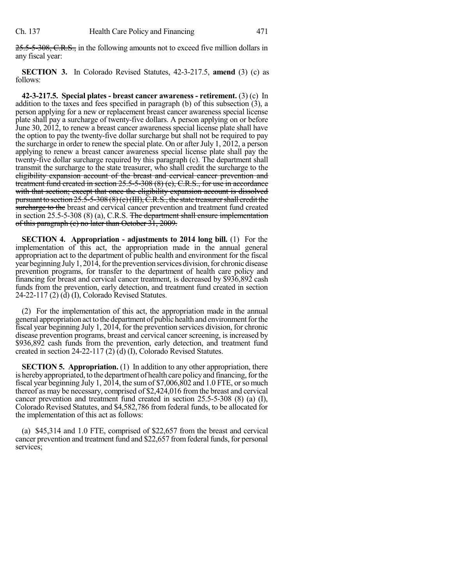25.5-5-308, C.R.S., in the following amounts not to exceed five million dollars in any fiscal year:

**SECTION 3.** In Colorado Revised Statutes, 42-3-217.5, **amend** (3) (c) as follows:

**42-3-217.5. Special plates - breast cancer awareness - retirement.** (3) (c) In addition to the taxes and fees specified in paragraph (b) of this subsection (3), a person applying for a new or replacement breast cancer awareness special license plate shall pay a surcharge of twenty-five dollars. A person applying on or before June 30, 2012, to renew a breast cancer awareness special license plate shall have the option to pay the twenty-five dollar surcharge but shall not be required to pay the surcharge in order to renew the special plate. On or afterJuly 1, 2012, a person applying to renew a breast cancer awareness special license plate shall pay the twenty-five dollar surcharge required by this paragraph (c). The department shall transmit the surcharge to the state treasurer, who shall credit the surcharge to the eligibility expansion account of the breast and cervical cancer prevention and treatment fund created in section 25.5-5-308 (8) (c), C.R.S., for use in accordance with that section; except that once the eligibility expansion account is dissolved pursuant to section  $25.5-5-308(8)$  (c) (III),  $\check{C}$ .R.S., the state treasurer shall credit the surcharge to the breast and cervical cancer prevention and treatment fund created in section 25.5-5-308 (8) (a), C.R.S. The department shall ensure implementation of this paragraph (c) no later than October 31, 2009.

**SECTION 4. Appropriation - adjustments to 2014 long bill.** (1) For the implementation of this act, the appropriation made in the annual general appropriation act to the department of public health and environment for the fiscal year beginning July 1, 2014, for the prevention services division, for chronic disease prevention programs, for transfer to the department of health care policy and financing for breast and cervical cancer treatment, is decreased by \$936,892 cash funds from the prevention, early detection, and treatment fund created in section 24-22-117 (2) (d) (I), Colorado Revised Statutes.

(2) For the implementation of this act, the appropriation made in the annual general appropriation act to the department of public health and environment for the fiscal year beginning July 1, 2014, for the prevention services division, for chronic disease prevention programs, breast and cervical cancer screening, is increased by \$936,892 cash funds from the prevention, early detection, and treatment fund created in section 24-22-117 (2) (d) (I), Colorado Revised Statutes.

**SECTION 5. Appropriation.** (1) In addition to any other appropriation, there is hereby appropriated, to the department of health care policy and financing, for the fiscal year beginning July 1, 2014, the sum of \$7,006,802 and 1.0 FTE, or so much thereof as may be necessary, comprised of \$2,424,016 fromthe breast and cervical cancer prevention and treatment fund created in section 25.5-5-308 (8) (a) (I), Colorado Revised Statutes, and \$4,582,786 from federal funds, to be allocated for the implementation of this act as follows:

(a) \$45,314 and 1.0 FTE, comprised of \$22,657 from the breast and cervical cancer prevention and treatment fund and \$22,657 fromfederal funds, for personal services;